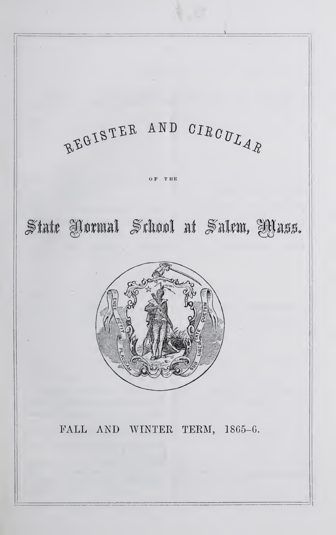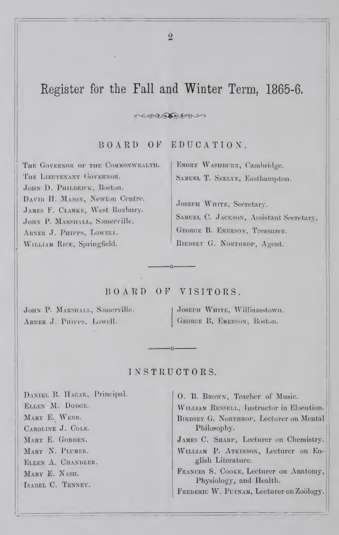# Register for the Fall and Winter Term, 1865-6,

BOARD OF EDUCATIOX.

 $C^{\infty}$ 

THE GOVERNOR OF THE COMMONWEALTH. THE LIEUTENANT GOVERNOR. JOHN D. PHILBRICK, Boston. DAVID H. MASON, Newton Centre. JAMES F. CLARKE, West Roxbury. JOHN P. MARSHALL, Somerville. ABNER J. PHIPPS, LOWELL. WILLIAM RICE, Springfield.

EMORY WASHBURN, Cambridge. SAMUEL T. SEELYE, Easthampton.

JOSEPH WHITE, Secretary. SAMUEL C. JACKSON, Assistant Secretary. George B. Emerson, Treasurer. Birdsev G. Northrop, Agent.

## BOARD OF VISITORS.

JOHN P. MARSHALL, Somerville. Abner J. Phipps, Lowell.

Joseph White, Williamstown, George B. Emerson, Bostun.

## INSTRUCTORS.

DANIEL B. HAGAR, Principal. Ellen M. Dodge. MARY E. WEEB. Caroline J. Cole. MARY E. GODDEN. MARY N. PLUMER. Ellen A. Chandler. MARY E. NASH. Isabel C. Tenney.

0. B. Brown, Teacher of Music. WILLIAM RUSSELL, Instructor in Elocution. BIRDSEY G. NORTHROP, Lecturer on Mental Philosophy. James C. Sharp, Lecturer on Chemistry. WILLIAM P. ATKINSON, Lecturer on En-

glish Literature. Frances S. Cooke, Lecturer on Anatomy, Physiology, and Health.

FREDERIC W. PUTNAM, Lecturer on Zoology.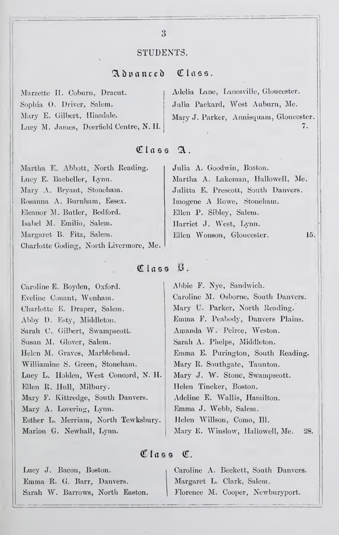## STUDENTS.

# Advanced Class.

| Marzette II. Coburn, Dracut.           | Adelia Lane, Lanesville, Gloucester.   |
|----------------------------------------|----------------------------------------|
| Sophia O. Driver, Salem.               | Julia Packard, West Auburn, Me.        |
| Mary E. Gilbert, Hinsdale.             | Mary J. Parker, Annisquam, Gloucester. |
| Lucy M. James, Deerfield Centre, N. H. |                                        |

# Class A.

| Martha E. Abbott, North Reading.       | Julia A. Goodwin, Boston.           |
|----------------------------------------|-------------------------------------|
| Lucy E. Bacheller, Lynn.               | Martha A. Lakeman, Hallowell, Me.   |
| Mary A. Bryant, Stoneham.              | Julitta E. Prescott, South Danvers. |
| Rosanna A. Burnham, Essex.             | Imogene A Rowe, Stoneham.           |
| Eleanor M. Butler, Bedford.            | Ellen P. Sibley, Salem.             |
| Isabel M. Emilio, Salem.               | Harriet J. West, Lynn.              |
| Margaret B. Fitz, Salem.               | Ellen Wonson, Gloucester.<br>15.    |
| Charlotte Goding, North Livermore, Me. |                                     |

# Class B.

| Caroline E. Boyden, Oxford.         | Abbie F. Nye, Sandwich.                |
|-------------------------------------|----------------------------------------|
| Eveline Conant, Wenham.             | Caroline M. Osborne, South Danvers.    |
| Charlotte E. Draper, Salem.         | Mary U. Parker, North Reading.         |
| Abby D. Esty, Middleton.            | Emma F. Peabody, Danvers Plains.       |
| Sarah C. Gilbert, Swampscott.       | Amanda W. Peirce, Weston.              |
| Susan M. Glover, Salem.             | Sarah A. Phelps, Middleton.            |
| Helen M. Graves, Marblehead.        | Emma E. Purington, South Reading.      |
| Williamine S. Green, Stoneham.      | Mary R. Southgate, Taunton.            |
| Luey L. Holden, West Concord, N. H. | Mary J. W. Stone, Swampscott.          |
| Ellen R. Hull, Milbury.             | Helen Tineker, Boston.                 |
| Mary F. Kittredge, South Danvers.   | Adeline E. Wallis, Hamilton.           |
| Mary A. Lovering, Lynn.             | Emma J. Webb, Salem.                   |
| Esther L. Merriam, North Tewksbury. | Helen Willson, Como, Ill.              |
| Marion G. Newhall, Lynn.            | Mary E. Winslow, Hallowell, Me.<br>28. |
|                                     |                                        |

# Class C.

| Lucy J. Bacon, Boston.          | Caroline A. Beckett, South Danvers. |
|---------------------------------|-------------------------------------|
| Emma R. G. Barr, Danvers.       | Margaret L. Clark, Salem.           |
| Sarah W. Barrows, North Easton. | Florence M. Cooper, Newburyport.    |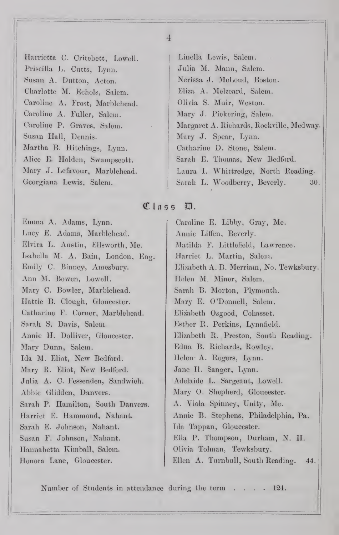Harrietta C. Critehett, Lowell. Priscilla L. Cutts, Lynn. Susan A. Dutton, Acton. Charlotte M. Echols, Salem. Caroline A. Frost, Marblehead. Caroline A. Fuller, Salem. Caroline P. Graves, Salem. Susan Hall, Dennis. Martha B. Hitchings, Lynn. Alice E. Holden, Swampscott. Mary J. Lefavour, Marblehead. Georgiana Lewis, Salem.

Linclla Lewis, Salem. Julia M. Mann, Salem. Nerissa J. McLoud, Boston. Eliza A. Mclzcard, Salem. Olivia S. Muir, Weston. Mary J. Pickering, Salem. Margaret A. Richards, Rockville, Medway. Mary J. Spear, Lynn. Catharine D. Stone, Salem. Sarah E. Thomas, New Bedford. Laura 1. Whittredge, North Reading. Sarah L. Woodberry, Beverly. 30.

## Class D.

Emma A. Adams, Lynn. Lucy E. Adams, Marblehead. Elvira L. Austin, Ellsworth, Me. Isabella M. A. Bain, London, Eng. Emily C. Binney, Amesbury. Ann M. Bowen, Lowell. Mary C. Bowler, Marblehead. Ilattie B. Clough, Gloucester. Catharine F. Corner, Marblehead. Sarah S. Davis, Salem. Annie H. Dolliver, Gloucester. Mary Dunn, Salem. Ida M. Eliot, New Bedford. Mary R. Eliot, New Bedford. Julia A. C. Fessenden, Sandwich. Abbie Glidden, Danvers. Sarah P. Hamilton, South Danvers. Harriet E. Hammond, Nahant. Sarah E. Johnson, Nahant. Susan F. Johnson, Nahant. Hannahetta Kimball, Salem. Ilonora Lane, Gloucester.

Caroline E. Libby, Gray, Me. Annie Liffen, Beverly. Matilda F. Littlefield, Lawrence. Harriet L. Martin, Salem. Elizabeth A. B. Merriam, No. Tewksbury. Helen M. Miner, Salem. Sarah B. Morton, Plymouth. Mary E. O'Donnell, Salem. Elizabeth Osgood, Cohasset. Esther R. Perkins, Lynnfield. Elizabeth R. Preston, South Reading. Edna B. Richards, Rowley. Helen- A. Rogers, Lynn. Jane H. Sanger, Lynn. Adelaide L. Sargeant, Lowell. Mary 0. Shepherd, Gloucester. A. Viola Spinney, Unity, Me. Annie B. Stephens, Philadelphia, Pa. Ida Tappan, Gloucester. Ella P. Thompson, Durham, N. II. Olivia Tolman, Tewksbury. Ellen A. Turnbull, South Reading. 44.

Number of Students in attendance during the term . . . . 124.

 $\overline{4}$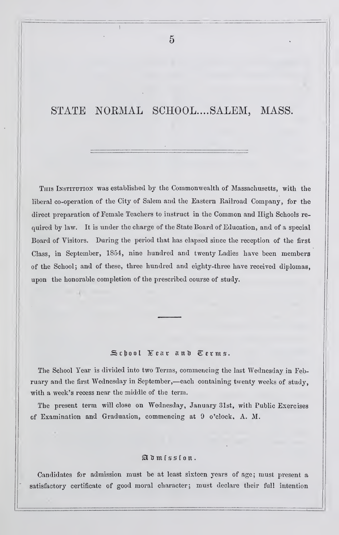# STATE NORMAL SCHOOL....SALEM, MASS.

 $\overline{5}$ 

THIS INSTITUTION was established by the Commonwealth of Massachusetts, with the liberal co-operation of the City of Salem and the Eastern Railroad Company, for the direct preparation of Female Teachers to instruct in the Common and High Schools re quired by law. It is under the charge of the State Board of Education, and of a special Board of Visitors. During the period that has elapsed since the reception of the first Class, in September, 1854, nine hundred and twenty Ladies have been members of the School; and of these, three hundred and eighty-three have received diplomas, upon the honorable completion of the prescribed course of study.

#### School Year and Terms.

The School Year is divided into two Terms, commencing the last Wednesday in February and the first Wednesday in September,—each containing twenty weeks of study, with a week's recess near the middle of the term.

The present term will close on Wednesday, January 31st, with Public Exercises of Examination and Graduaiion, commencing at 9 o'clock, A. M.

## $\mathfrak{A}$  d  $m$ i ssion.

Candidates for admission must be at least sixteen years of age; must present a satisfactory certificate of good moral character; must declare their full intention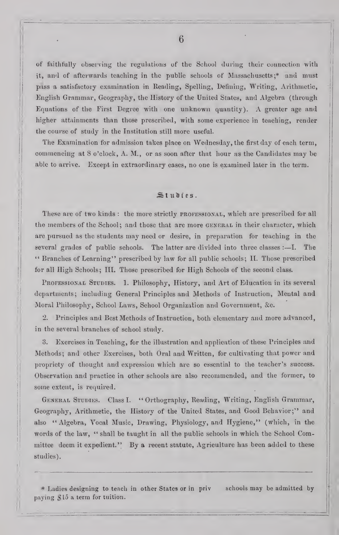of faithfully observing the regulationa of the School during their connection with it, and of afterwards teaching in the public schools of Massachusetts;\* and must pass a satisfactory examination in Reading, Spelling, Defining, Writing, Arithmetic, English Grammar, Geography, the History of the United States, and Algebra (through Equations of the First Degree with one unknown quantity). A greater age and higher attainments than those prescribed, with some experience in teaching, render the course of study in the Institution still more useful.

The Examination for admission takes place on Wednesday, the first day of each term, commencing at 8 o'clock, A. M., or as soon after that hour as the Candidates may be able to arrive. Except in extraordinary cases, no one is examined later in the term.

## Studies.

These are of two kinds: the more strictly professional, which are prescribed for all the members of the School; and those that are more gengral in their character, which are pursued as the students may need or desire, in preparation for teaching in the several grades of public schools. The latter are divided into three classes : —I. The '• Branches of Learning" prescribed by law for all public schools; 11. Those prescribed for all High Schools; III. Those prescribed for High Schools of the second class.

PROFESSIONAL STUDIES. 1. Philosophy, History, and Art of Education in its several departments; including General Principles and Methods of Instruction, Mental and Moral Philosophy, School Laws, School Organization and Government, &c.

2. Principles and Best Methods of Instruction, both elementary and more advanced, in the several branches of school study.

8. Exercises in Teaching, for the illustration and application of these Principles and Methods; and other Exercises, both Oral and Written, for cultivating that power and propriety of thought and expression which are so essential to the teacher's success. Observation and practice in other schools are also recommended, and the former, to some extent, is required.

General Studies. Class I. " Orthography, Reading, Writing, English Grammar, Geography, Arithmetic, the History of the United States, and Good Behavior;" and also "Algebra, Vocal Music, Drawing, Physiology, and Hygiene," (which, in the words of the law, " shall be taught in all the public schools in which the School Committee deem it expedient." By a recent statute, Agriculture has been added to these studies).

\* Ladies designing to teach in other States or in priv schools may be admitted by paying  $$15$  a term for tuition.

6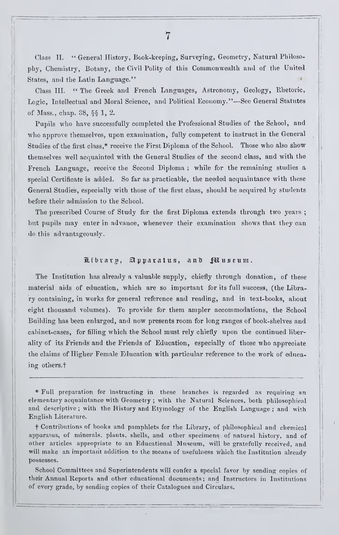Class II. " General History, Book-keeping, Surveying, Geometry, Natural Philosophy, Chemistry, Botany, the Civil Polity of this Commonwealth and of the United States, and the Latin Language."

Class III. " The Greek and French Languages, Astronomy, Geology, Rhetoric, Logic, Intellectual and Moral Science, and Political Economy."—See General Statutes of Mass., chap. 38,  $\S$  $I$ , 2.

Pupils who have successfully completed the Professional Studies of the School, and who approve themselves, upon examination, fully competent to instruct in the General Studies of the first class,\* receive the First Diploma of the School. Those who also show themselves well acquainted with the General Studies of the second class, and with the French Language, receive the Second Diploma ; while for the remaining studies a special Certificate is added. So far as practicable, the needed acquaintance with these General Studies, especially with those of the first class, should be acquired by students before their admission to the School.

The prescribed Course of Study for the first Diploma extends through two years ; bnt pupils may enter in advance, whenever their examination shows that they can do this advantageously.

### Library, Apparatus, and Pauseum.

The Institution has already a valuable supply, chiefly through donation, of these material aids of education, which are so important for its full success, (the Library containing, in works for general reference and reading, and in text-books, about eight thousand volumes). To provide for them ampler accommodations, the School Building has been enlarged, and now presents room for long ranges of book-shelves and cabinet-cases, for filling which the School must rely chiefly upon the continued liberality of its Friends and the Friends of Education, especially of those who appreciate the claims of Higher Female Education with particular reference to the work of educaing others.

\* Full preparation for instructing in these branches is regarded as requiring an elementary acquaintance with Geometry ; with the Natural Sciences, both philosophicnl and descriptive; with the History and Etymology of the English Language; and with English Literature.

t Contributions of books and pamphlets for the Library, of pliilosophical and chemical apparatus, of minerals, plants, shells, and other specimens of natural history, and of other articles appropriate to an Educational Museum, will be gratefully received, and will make an important addition to the means of usefulness which the Institution already possesses.

School Committees and Superintendents will confer a special favor by sending copies of their Annual Reports and other educational documents ; and Instructors in Institutions of every grade, by sending copies of their Catalogues and Circulars.